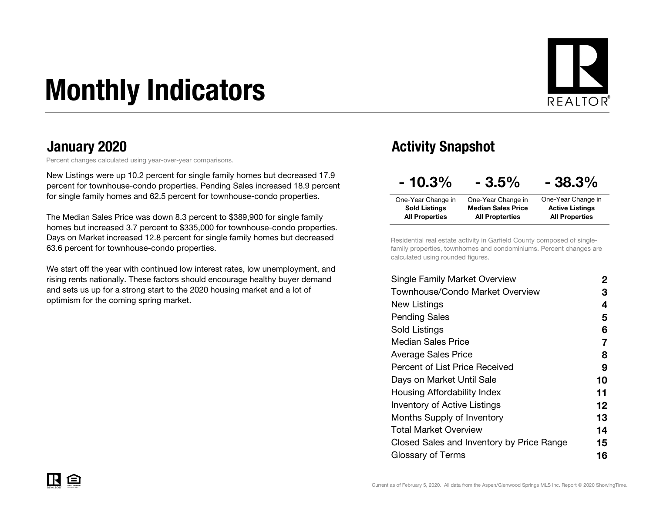# Monthly Indicators



Percent changes calculated using year-over-year comparisons.

New Listings were up 10.2 percent for single family homes but decreased 17.9 percent for townhouse-condo properties. Pending Sales increased 18.9 percent for single family homes and 62.5 percent for townhouse-condo properties.

The Median Sales Price was down 8.3 percent to \$389,900 for single family homes but increased 3.7 percent to \$335,000 for townhouse-condo properties. Days on Market increased 12.8 percent for single family homes but decreased 63.6 percent for townhouse-condo properties.

We start off the year with continued low interest rates, low unemployment, and rising rents nationally. These factors should encourage healthy buyer demand and sets us up for a strong start to the 2020 housing market and a lot of optimism for the coming spring market.

#### January 2020 **Activity Snapshot Activity Snapshot**

| $-10.3\%$             | $-3.5%$                   | $-38.3%$               |
|-----------------------|---------------------------|------------------------|
| One-Year Change in    | One-Year Change in        | One-Year Change in     |
| <b>Sold Listings</b>  | <b>Median Sales Price</b> | <b>Active Listings</b> |
| <b>All Properties</b> | <b>All Propterties</b>    | <b>All Properties</b>  |

Residential real estate activity in Garfield County composed of singlefamily properties, townhomes and condominiums. Percent changes are calculated using rounded figures.

| Single Family Market Overview             | 2                 |
|-------------------------------------------|-------------------|
| Townhouse/Condo Market Overview           | З                 |
| New Listings                              | 4                 |
| <b>Pending Sales</b>                      | 5                 |
| Sold Listings                             | 6                 |
| <b>Median Sales Price</b>                 | 7                 |
| Average Sales Price                       | 8                 |
| <b>Percent of List Price Received</b>     | 9                 |
| Days on Market Until Sale                 | 10                |
| Housing Affordability Index               | 11                |
| <b>Inventory of Active Listings</b>       | $12 \ \mathsf{ }$ |
| <b>Months Supply of Inventory</b>         | 13                |
| Total Market Overview                     | 14                |
| Closed Sales and Inventory by Price Range | 15                |
| Glossary of Terms                         | 16                |
|                                           |                   |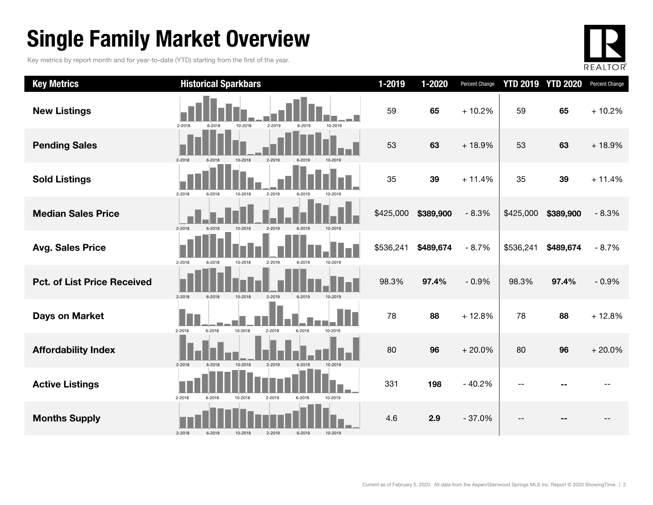### Single Family Market Overview

Key metrics by report month and for year-to-date (YTD) starting from the first of the year.



| <b>Key Metrics</b>                 | <b>Historical Sparkbars</b>                                    | 1-2019    | 1-2020    | Percent Change | <b>YTD 2019</b> | <b>YTD 2020</b> | Percent Change |
|------------------------------------|----------------------------------------------------------------|-----------|-----------|----------------|-----------------|-----------------|----------------|
| <b>New Listings</b>                | 2-2018<br>2-2019<br>10-2019<br>10-2018<br>6-2019<br>6-2018     | 59        | 65        | $+10.2%$       | 59              | 65              | $+10.2%$       |
| <b>Pending Sales</b>               | 10-2018<br>2-2019<br>2-2018<br>6-2018                          | 53        | 63        | $+18.9%$       | 53              | 63              | $+18.9%$       |
| <b>Sold Listings</b>               | 2-2018<br>6-2018<br>10-2018<br>2-2019<br>6-2019<br>10-2019     | 35        | 39        | $+11.4%$       | 35              | 39              | $+11.4%$       |
| <b>Median Sales Price</b>          | 2-2018<br>10-2018<br>2-2019<br>6-2019<br>10-2019<br>6-2018     | \$425,000 | \$389,900 | $-8.3%$        | \$425,000       | \$389,900       | $-8.3%$        |
| <b>Avg. Sales Price</b>            | 2-2018<br>6-2018<br>10-2018<br>2-2019<br>6-2019<br>10-2019     | \$536,241 | \$489,674 | $-8.7%$        | \$536,241       | \$489,674       | $-8.7%$        |
| <b>Pct. of List Price Received</b> | 2-2018<br>6-2018<br>2-2019<br>6-2019<br>10-2018<br>10-2019     | 98.3%     | 97.4%     | $-0.9%$        | 98.3%           | 97.4%           | $-0.9%$        |
| <b>Days on Market</b>              | 2-2018<br>$6 - 2018$<br>10-2018<br>2-2019<br>6-2019<br>10-2019 | 78        | 88        | $+12.8%$       | 78              | 88              | $+12.8%$       |
| <b>Affordability Index</b>         | $2 - 2018$<br>6-2018<br>10-2018<br>2-2019<br>6-2019<br>10-2019 | 80        | 96        | $+20.0%$       | 80              | 96              | $+20.0%$       |
| <b>Active Listings</b>             | $2 - 2018$<br>6-2018<br>10-2018<br>2-2019<br>6-2019<br>10-2019 | 331       | 198       | $-40.2%$       |                 |                 |                |
| <b>Months Supply</b>               | $2 - 2018$<br>6-2018<br>6-2019<br>10-2018<br>2-2019<br>10-2019 | 4.6       | 2.9       | $-37.0%$       |                 |                 |                |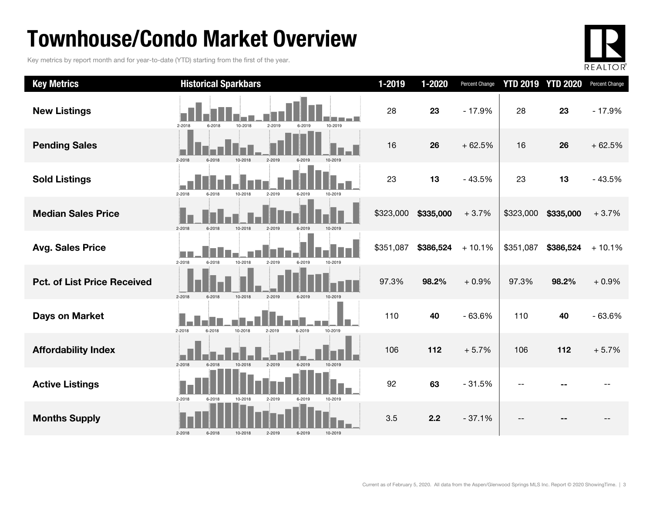### Townhouse/Condo Market Overview

Key metrics by report month and for year-to-date (YTD) starting from the first of the year.



| <b>Key Metrics</b>                 | <b>Historical Sparkbars</b>                                    | 1-2019    | 1-2020    | Percent Change |           | <b>YTD 2019 YTD 2020</b> | Percent Change |
|------------------------------------|----------------------------------------------------------------|-----------|-----------|----------------|-----------|--------------------------|----------------|
| <b>New Listings</b>                | 2-2018<br>10-2018<br>2-2019<br>10-2019<br>6-2018<br>6-2019     | 28        | 23        | $-17.9%$       | 28        | 23                       | $-17.9%$       |
| <b>Pending Sales</b>               | $2 - 2018$<br>10-2018<br>$2 - 2019$                            | 16        | 26        | $+62.5%$       | 16        | 26                       | $+62.5%$       |
| <b>Sold Listings</b>               | 2-2018<br>6-2018<br>10-2018<br>2-2019<br>6-2019<br>10-2019     | 23        | 13        | $-43.5%$       | 23        | 13                       | $-43.5%$       |
| <b>Median Sales Price</b>          | 2-2018<br>6-2018<br>2-2019                                     | \$323,000 | \$335,000 | $+3.7%$        | \$323,000 | \$335,000                | $+3.7%$        |
| <b>Avg. Sales Price</b>            | $2 - 2018$<br>10-2018<br>2-2019<br>6-2018<br>6-2019<br>10-2019 | \$351,087 | \$386,524 | $+10.1%$       | \$351,087 | \$386,524                | $+10.1%$       |
| <b>Pct. of List Price Received</b> | 10-2018<br>2-2019<br>$2 - 2018$<br>6-2019<br>6-2018<br>10-2019 | 97.3%     | 98.2%     | $+0.9%$        | 97.3%     | 98.2%                    | $+0.9%$        |
| <b>Days on Market</b>              | 2-2018<br>10-2018<br>2-2019<br>6-2019<br>10-2019<br>6-2018     | 110       | 40        | $-63.6%$       | 110       | 40                       | $-63.6%$       |
| <b>Affordability Index</b>         | $2 - 2018$<br>2-2019<br>6-2018<br>10-2018<br>6-2019<br>10-2019 | 106       | 112       | $+5.7%$        | 106       | 112                      | $+5.7%$        |
| <b>Active Listings</b>             | 2-2018<br>6-2018<br>10-2018<br>2-2019<br>6-2019<br>10-2019     | 92        | 63        | $-31.5%$       | --        |                          |                |
| <b>Months Supply</b>               | $2 - 2018$<br>10-2019<br>6-2018<br>10-2018<br>2-2019<br>6-2019 | 3.5       | 2.2       | $-37.1%$       | --        |                          |                |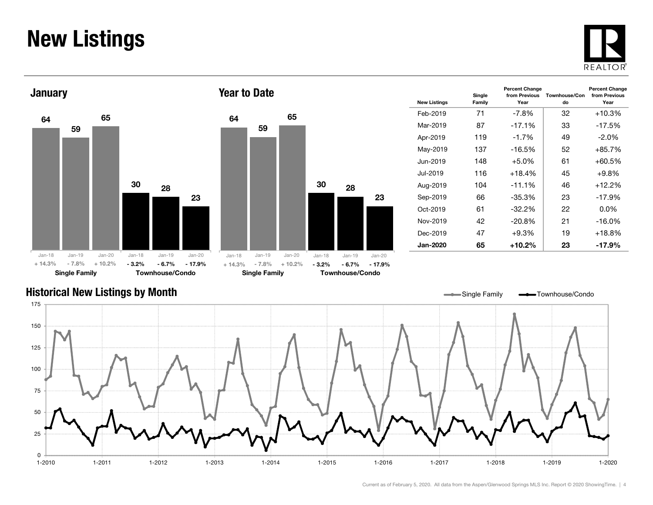### New Listings







| <b>New Listings</b> | Single<br>Family | <b>Percent Change</b><br>from Previous<br>Year | Townhouse/Con<br>do | <b>Percent Change</b><br>from Previous<br>Year |
|---------------------|------------------|------------------------------------------------|---------------------|------------------------------------------------|
| Feb-2019            | 71               | -7.8%                                          | 32                  | $+10.3%$                                       |
| Mar-2019            | 87               | $-17.1%$                                       | 33                  | $-17.5%$                                       |
| Apr-2019            | 119              | $-1.7%$                                        | 49                  | $-2.0\%$                                       |
| May-2019            | 137              | $-16.5%$                                       | 52                  | $+85.7%$                                       |
| Jun-2019            | 148              | $+5.0%$                                        | 61                  | $+60.5%$                                       |
| Jul-2019.           | 116              | $+18.4%$                                       | 45                  | $+9.8\%$                                       |
| Aug-2019            | 104              | $-11.1%$                                       | 46                  | $+12.2%$                                       |
| Sep-2019            | 66               | $-35.3%$                                       | 23                  | $-17.9%$                                       |
| Oct-2019            | 61               | $-32.2\%$                                      | 22                  | $0.0\%$                                        |
| Nov-2019            | 42               | $-20.8%$                                       | 21                  | $-16.0%$                                       |
| Dec-2019            | 47               | $+9.3%$                                        | 19                  | $+18.8%$                                       |
| <b>Jan-2020</b>     | 65               | $+10.2\%$                                      | 23                  | -17.9%                                         |

#### Historical New Listings by Month

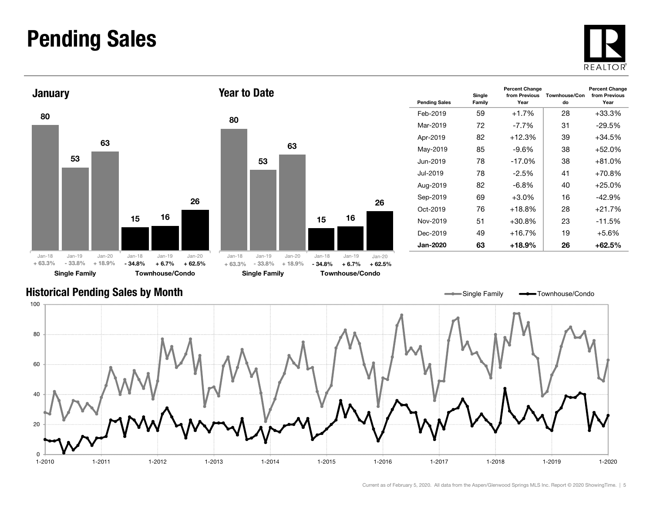#### Pending Sales







| <b>Pending Sales</b> | Single<br>Family | <b>Percent Change</b><br>from Previous<br>Year | Townhouse/Con<br>do | <b>Percent Change</b><br>from Previous<br>Year |
|----------------------|------------------|------------------------------------------------|---------------------|------------------------------------------------|
| Feb-2019             | 59               | $+1.7%$                                        | 28                  | $+33.3%$                                       |
| Mar-2019             | 72               | $-7.7%$                                        | 31                  | $-29.5%$                                       |
| Apr-2019             | 82               | $+12.3%$                                       | 39                  | $+34.5%$                                       |
| May-2019             | 85               | -9.6%                                          | 38                  | +52.0%                                         |
| Jun-2019             | 78               | $-17.0%$                                       | 38                  | $+81.0%$                                       |
| Jul-2019             | 78               | $-2.5\%$                                       | 41                  | +70.8%                                         |
| Aug-2019             | 82               | $-6.8\%$                                       | 40                  | $+25.0%$                                       |
| Sep-2019             | 69               | $+3.0\%$                                       | 16                  | $-42.9%$                                       |
| $Oct-2019$           | 76               | $+18.8\%$                                      | 28                  | $+21.7%$                                       |
| Nov-2019             | 51               | +30.8%                                         | 23                  | $-11.5%$                                       |
| Dec-2019             | 49               | +16.7%                                         | 19                  | $+5.6%$                                        |
| <b>Jan-2020</b>      | 63               | +18.9%                                         | 26                  | +62.5%                                         |

#### Historical Pending Sales by Month

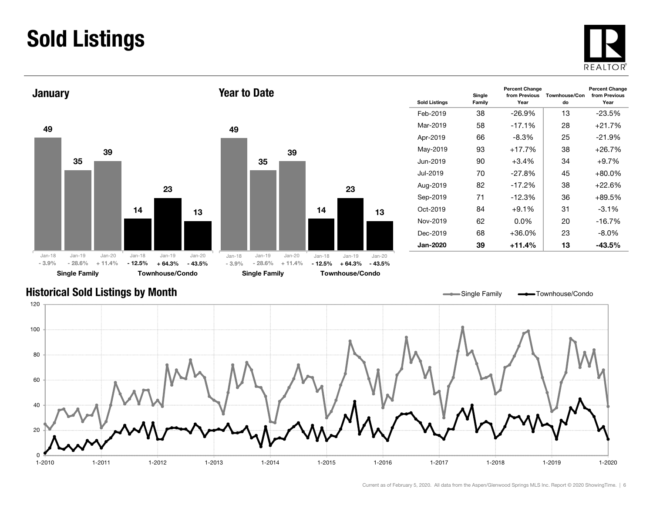### Sold Listings





| <b>Sold Listings</b> | Single<br>Family | <b>Percent Change</b><br>from Previous<br>Year | Townhouse/Con<br>do | <b>Percent Change</b><br>from Previous<br>Year |
|----------------------|------------------|------------------------------------------------|---------------------|------------------------------------------------|
| Feb-2019             | 38               | $-26.9\%$                                      | 13                  | $-23.5\%$                                      |
| Mar-2019             | 58               | $-17.1%$                                       | 28                  | +21.7%                                         |
| Apr-2019             | 66               | -8.3%                                          | 25                  | $-21.9%$                                       |
| May-2019             | 93               | $+17.7%$                                       | 38                  | $+26.7%$                                       |
| Jun-2019.            | 90               | $+3.4\%$                                       | 34                  | $+9.7%$                                        |
| Jul-2019.            | 70               | $-27.8%$                                       | 45                  | $+80.0\%$                                      |
| Aug-2019             | 82               | $-17.2%$                                       | 38                  | $+22.6%$                                       |
| Sep-2019             | 71               | $-12.3%$                                       | 36                  | $+89.5%$                                       |
| $Oct-2019$           | 84               | $+9.1\%$                                       | 31                  | $-3.1\%$                                       |
| Nov-2019             | 62               | 0.0%                                           | 20                  | $-16.7%$                                       |
| Dec-2019             | 68               | $+36.0\%$                                      | 23                  | $-8.0\%$                                       |
| Jan-2020             | 39               | +11.4%                                         | 13                  | $-43.5\%$                                      |

Single Family **-** Townhouse/Condo

#### Historical Sold Listings by Month

020 406080 100120 1-2010 1-2011 1-2012 1-2013 1-2014 1-2015 1-2016 1-2017 1-2018 1-2019 1-2020

23

13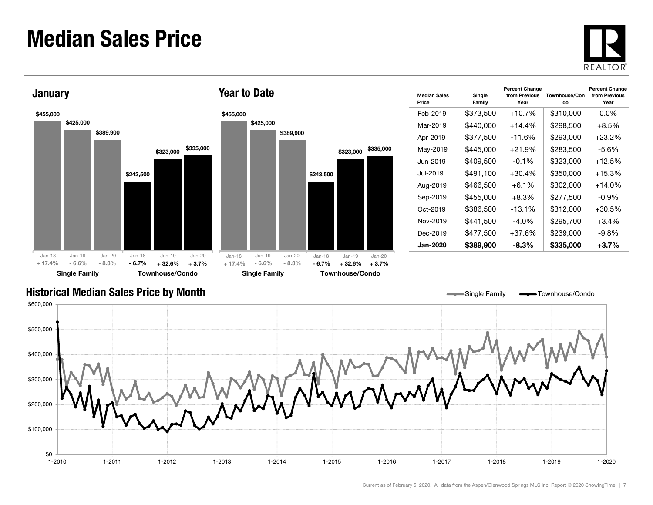#### Median Sales Price





| <b>Median Sales</b><br>Price | Single<br>Family | <b>Percent Change</b><br>from Previous<br>Year | Townhouse/Con<br>do | <b>Percent Change</b><br>from Previous<br>Year |
|------------------------------|------------------|------------------------------------------------|---------------------|------------------------------------------------|
| Feb-2019                     | \$373,500        | $+10.7%$                                       | \$310,000           | $0.0\%$                                        |
| Mar-2019                     | \$440,000        | $+14.4%$                                       | \$298,500           | $+8.5%$                                        |
| Apr-2019                     | \$377,500        | -11.6%                                         | \$293,000           | $+23.2\%$                                      |
| May-2019                     | \$445,000        | $+21.9%$                                       | \$283,500           | -5.6%                                          |
| Jun-2019                     | \$409,500        | $-0.1\%$                                       | \$323,000           | $+12.5%$                                       |
| Jul-2019.                    | \$491,100        | $+30.4\%$                                      | \$350,000           | $+15.3%$                                       |
| Aug-2019                     | \$466,500        | $+6.1\%$                                       | \$302.000           | $+14.0%$                                       |
| Sep-2019                     | \$455,000        | $+8.3%$                                        | \$277,500           | -0.9%                                          |
| Oct-2019                     | \$386,500        | $-13.1%$                                       | \$312,000           | $+30.5\%$                                      |
| Nov-2019                     | \$441,500        | -4.0%                                          | \$295,700           | $+3.4%$                                        |
| Dec-2019                     | \$477,500        | $+37.6%$                                       | \$239,000           | $-9.8%$                                        |
| Jan-2020                     | \$389,900        | -8.3%                                          | \$335,000           | $+3.7\%$                                       |

Single Family **-** Townhouse/Condo

#### Historical Median Sales Price by Month

\$0 \$100,000 \$200,000 \$300,000 \$400,000 \$500,000 \$600,000 1-2010 1-2011 1-2012 1-2013 1-2014 1-2015 1-2016 1-2017 1-2018 1-2019 1-20201-2020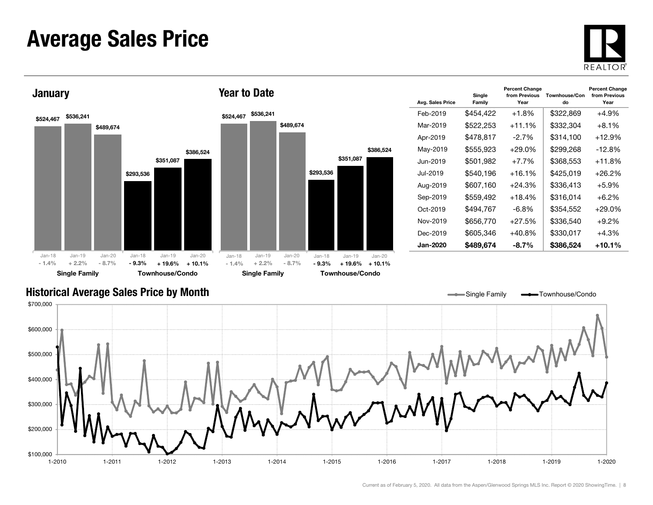#### Average Sales Price





| Avg. Sales Price | Single<br>Family | <b>Percent Change</b><br>from Previous<br>Year | Townhouse/Con<br>do | <b>Percent Change</b><br>from Previous<br>Year |
|------------------|------------------|------------------------------------------------|---------------------|------------------------------------------------|
| Feb-2019         | \$454,422        | $+1.8%$                                        | \$322,869           | $+4.9%$                                        |
| Mar-2019         | \$522,253        | $+11.1%$                                       | \$332,304           | $+8.1\%$                                       |
| Apr-2019         | \$478.817        | $-2.7\%$                                       | \$314.100           | +12.9%                                         |
| May-2019         | \$555,923        | $+29.0%$                                       | \$299,268           | $-12.8\%$                                      |
| Jun-2019.        | \$501,982        | $+7.7%$                                        | \$368,553           | $+11.8%$                                       |
| Jul-2019         | \$540,196        | $+16.1%$                                       | \$425,019           | +26.2%                                         |
| Aug-2019         | \$607,160        | $+24.3%$                                       | \$336,413           | $+5.9\%$                                       |
| Sep-2019         | \$559,492        | $+18.4%$                                       | \$316,014           | $+6.2\%$                                       |
| Oct-2019         | \$494,767        | -6.8%                                          | \$354,552           | +29.0%                                         |
| Nov-2019         | \$656,770        | $+27.5%$                                       | \$336,540           | $+9.2%$                                        |
| Dec-2019         | \$605,346        | $+40.8%$                                       | \$330,017           | $+4.3%$                                        |
| Jan-2020         | \$489,674        | $-8.7\%$                                       | \$386,524           | +10.1%                                         |

Single Family **- Townhouse/Condo** 

#### Historical Average Sales Price by Month

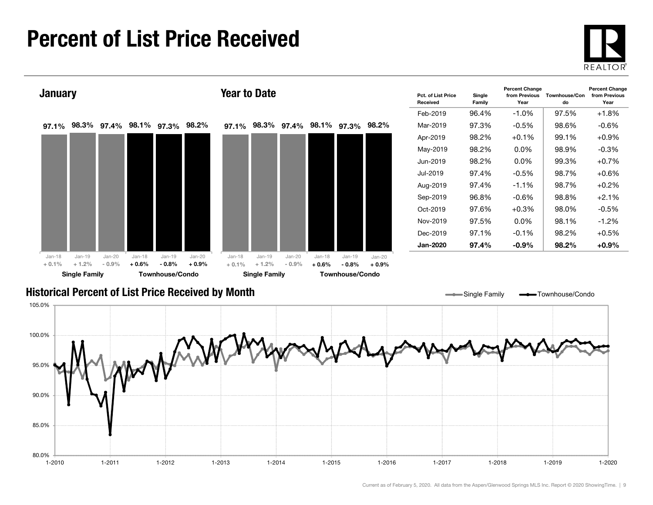### Percent of List Price Received





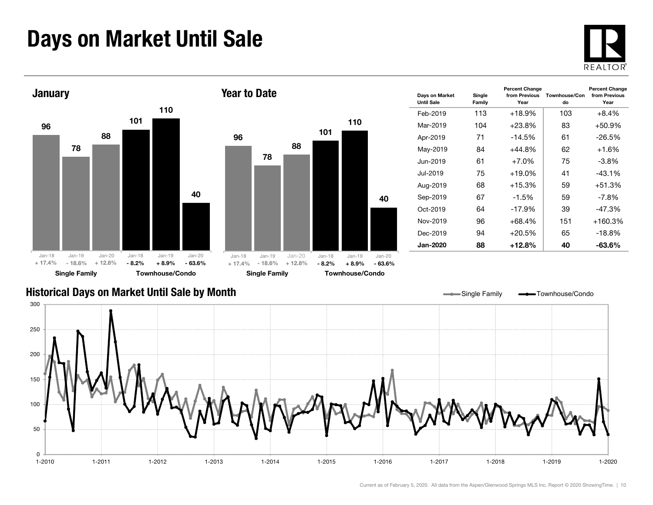### Days on Market Until Sale







| Days on Market<br><b>Until Sale</b> | Single<br>Family | <b>Percent Change</b><br>from Previous<br>Year | Townhouse/Con<br>do | <b>Percent Change</b><br>from Previous<br>Year |
|-------------------------------------|------------------|------------------------------------------------|---------------------|------------------------------------------------|
| Feb-2019                            | 113              | $+18.9%$                                       | 103                 | $+8.4%$                                        |
| Mar-2019                            | 104              | $+23.8\%$                                      | 83                  | $+50.9\%$                                      |
| Apr-2019                            | 71               | $-14.5%$                                       | 61                  | $-26.5\%$                                      |
| May-2019                            | 84               | $+44.8%$                                       | 62                  | $+1.6%$                                        |
| Jun-2019                            | 61               | $+7.0\%$                                       | 75                  | -3.8%                                          |
| Jul-2019                            | 75               | $+19.0\%$                                      | 41                  | $-43.1%$                                       |
| Aug-2019                            | 68               | $+15.3%$                                       | 59                  | $+51.3%$                                       |
| Sep-2019                            | 67               | $-1.5\%$                                       | 59                  | $-7.8\%$                                       |
| $Oct-2019$                          | 64               | $-17.9\%$                                      | 39                  | $-47.3%$                                       |
| Nov-2019                            | 96               | $+68.4%$                                       | 151                 | $+160.3%$                                      |
| Dec-2019                            | 94               | $+20.5%$                                       | 65                  | $-18.8%$                                       |
| <b>Jan-2020</b>                     | 88               | +12.8%                                         | 40                  | -63.6%                                         |

#### Historical Days on Market Until Sale by Month

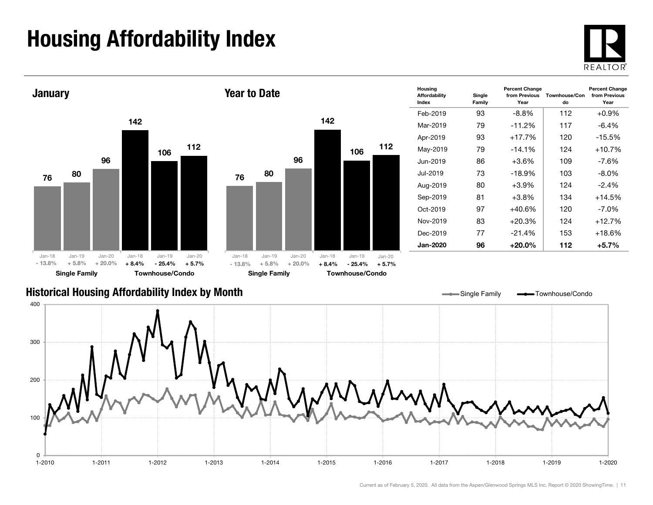## Housing Affordability Index

 $\overline{0}$ 

100

200





1-2010 1-2011 1-2012 1-2013 1-2014 1-2015 1-2016 1-2017 1-2018 1-2019 1-2020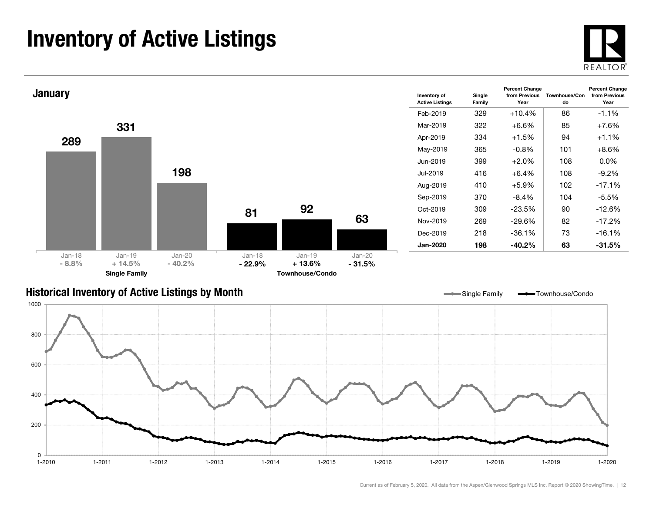### Inventory of Active Listings





#### Historical Inventory of Active Listings by Month

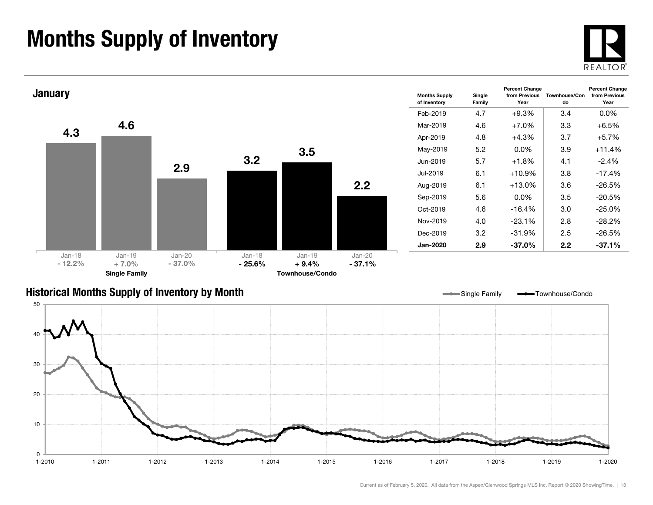### Months Supply of Inventory





#### Historical Months Supply of Inventory by Month

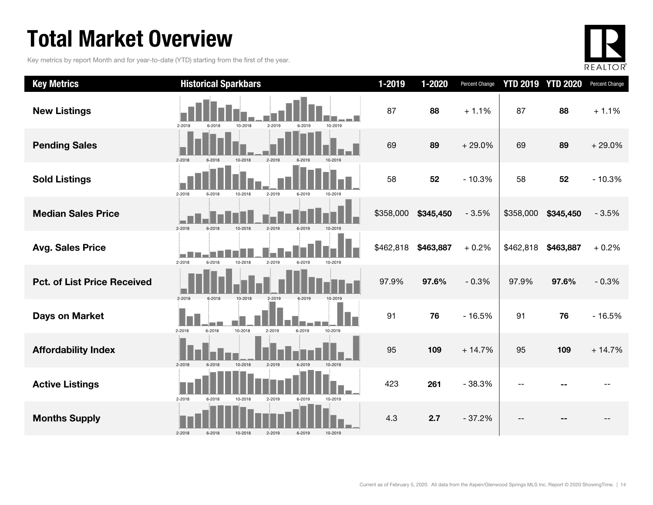### Total Market Overview

Key metrics by report Month and for year-to-date (YTD) starting from the first of the year.



| <b>Key Metrics</b>                 | <b>Historical Sparkbars</b>                                              | 1-2019    | 1-2020    | Percent Change |           | <b>YTD 2019 YTD 2020</b> | Percent Change |
|------------------------------------|--------------------------------------------------------------------------|-----------|-----------|----------------|-----------|--------------------------|----------------|
| <b>New Listings</b>                | 2-2018<br>10-2018<br>2-2019<br>10-2019<br>6-2018<br>6-2019               | 87        | 88        | $+1.1%$        | 87        | 88                       | $+1.1%$        |
| <b>Pending Sales</b>               | 2-2018<br>2-2019<br>6-2018<br>10-2018<br>6-2019                          | 69        | 89        | $+29.0%$       | 69        | 89                       | $+29.0%$       |
| <b>Sold Listings</b>               | $2 - 2018$<br>10-2018<br>2-2019<br>6-2019<br>6-2018<br>10-2019           | 58        | 52        | $-10.3%$       | 58        | 52                       | $-10.3%$       |
| <b>Median Sales Price</b>          | $2 - 2018$<br>10-2018<br>2-2019<br>6-2019<br>6-2018<br>10-2019           | \$358,000 | \$345,450 | $-3.5%$        | \$358,000 | \$345,450                | $-3.5%$        |
| <b>Avg. Sales Price</b>            | in Die<br>$2 - 2018$<br>10-2018<br>6-2018<br>2-2019<br>6-2019<br>10-2019 | \$462,818 | \$463,887 | $+0.2%$        | \$462,818 | \$463,887                | $+0.2%$        |
| <b>Pct. of List Price Received</b> | 2-2018<br>6-2018<br>10-2018<br>2-2019<br>6-2019                          | 97.9%     | 97.6%     | $-0.3%$        | 97.9%     | 97.6%                    | $-0.3%$        |
| <b>Days on Market</b>              | 2-2018<br>10-2018<br>6-2018<br>2-2019<br>6-2019<br>10-2019               | 91        | 76        | $-16.5%$       | 91        | 76                       | $-16.5%$       |
| <b>Affordability Index</b>         | 2-2019<br>$2 - 2018$<br>6-2018<br>10-2018<br>6-2019<br>10-2019           | 95        | 109       | $+14.7%$       | 95        | 109                      | $+14.7%$       |
| <b>Active Listings</b>             | $2 - 2018$<br>10-2018<br>2-2019<br>10-2019<br>6-2018<br>6-2019           | 423       | 261       | $-38.3%$       |           |                          |                |
| <b>Months Supply</b>               | $2 - 2018$<br>6-2018<br>10-2018<br>2-2019<br>6-2019<br>10-2019           | 4.3       | 2.7       | $-37.2%$       |           |                          |                |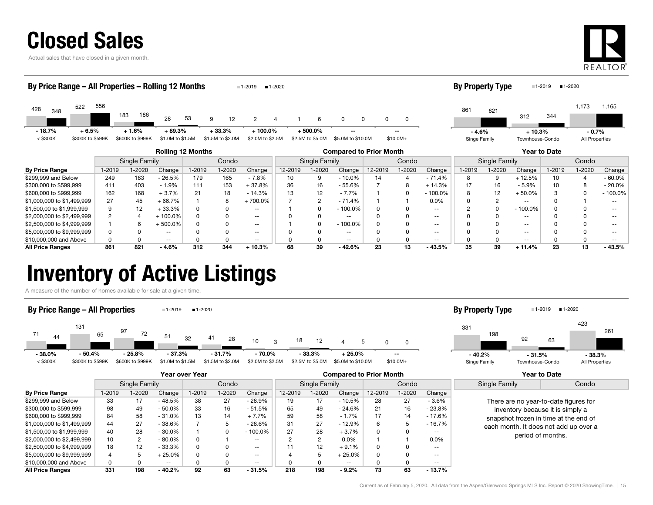| <b>Closed Sales</b> |
|---------------------|
|---------------------|

Actual sales that have closed in a given month.



#### **By Price Range** | 1-2019 1-2020 Change | 1-2019 1-2020 9 1-2020 1-2020 Change | 1-2019 1-2020 1-2019 1-2019 1-2020 Change | 1-2019 1-2020 Change | 1-2019 1-2020 Change | 1-2019 1-2020 Chang \$299,999 and Below | 249 183 - 26.5% | 179 165 - 7.8% || 10 9 - 10.0% | 14 4 - 71.4% || 8 9 + 12.5% | 10 4 - 60.0% \$300,000 to \$599,999 411 403 - 1.9% 111 153 + 37.8% 36 16 - 55.6% 7 8 + 14.3% 17 16 - 5.9% 10 8 - 20.0% Rolling 12 Months Compared to Prior Month Year to Date Single Family Condo || Single Family | Condo || Single Family | Condo 428 <sup>522</sup> 183 $28$  53 53 g 9 12 2 4 1 6 0 0 0 348<br>28 348 348 348 348 348 348 349 4 53 4 54 54 556 357 4 56 57 58 59 512 4 52 4 52 53 54 556 557 558 558 558 558 556186 12 44 1 6 0 0 0 0  $<$  \$300K  $=$  \$300K to \$599K \$600K to \$999K \$1.0M to \$1.5M \$1.5M to \$2.0M \$2.0M to \$2.5M \$2.5M to \$5.0M \$5.0M \$10.0M \$10.0M+ By Price Range – All Properties – Rolling 12 Months 1-2019 1-2020 8613121,173 <sup>821</sup>3441,165 Singe Family Townhouse-Condo By Property Type  $1-2019$   $1-2020$ - 18.7% $+ 6.5\% + 1.6\% + 89.3\%$  $\%$  + 33.3% + 100.0% + 500.0% -- -- -- -- -- -- - -4.6%  $-4.6\%$  + 10.3% - 0.7% All Properties

| All Price Ranges           | 861 | 821 | 4.6%       | 312 | 344 | 10.3%    | 68 | 39 | - 42.6%  | 23 | $-43.5%$  | 39 | $+11.4%$      | 23 | $-43.5%$   |
|----------------------------|-----|-----|------------|-----|-----|----------|----|----|----------|----|-----------|----|---------------|----|------------|
| \$10,000,000 and Above     |     |     | $- -$      |     |     | $- -$    |    |    | $- -$    |    | $- -$     |    | $- -$         |    | $- -$      |
| \$5,000,000 to \$9,999,999 |     |     | $- -$      |     |     | $- -$    |    |    | --       |    | --        |    | --            |    |            |
| \$2,500,000 to \$4,999,999 |     |     | $.500.0\%$ |     |     | $- -$    |    |    | 100.0%   |    | $- -$     |    | $- -$         |    | $- -$      |
| \$2,000,000 to \$2,499,999 |     |     | 100.0%     |     |     | $- -$    |    |    | --       |    | $- -$     |    | --            |    |            |
| \$1,500,00 to \$1,999,999  |     |     | 33.3%      |     |     | $- -$    |    |    | 100.0%   |    | $- -$     |    | $-100.0\%$    |    |            |
| \$1,000,000 to \$1,499,999 | 27  | 45  | 66.7%      |     |     | +700.0%  |    |    | $-71.4%$ |    | 0.0%      |    | $\sim$ $\sim$ |    | $- -$      |
| \$600,000 to \$999,999     | 162 | 168 | + 3.7%     |     |     | $-14.3%$ |    |    | $-7.7%$  |    | $-100.0%$ |    | $+50.0%$      |    | $-100.0\%$ |
| \$300,000 to \$599,999     | 411 | 403 | 1.9%       |     | 153 | 37.8%    | 36 | 16 | - 55.6%  |    | 14.3%     |    | - 5.9%        | 10 | - 20.0%    |

### Inventory of Active Listings

A measure of the number of homes available for sale at a given time.

#### By Price Range – All Properties 1-2019 1-2020





|                            |        |               |           | Year over Year |            |                          | <b>Compared to Prior Month</b> |               |           |         |         |               | <b>Year to Date</b> |                                       |  |
|----------------------------|--------|---------------|-----------|----------------|------------|--------------------------|--------------------------------|---------------|-----------|---------|---------|---------------|---------------------|---------------------------------------|--|
|                            |        | Single Family |           |                | Condo      |                          |                                | Single Family |           | Condo   |         |               | Single Family       | Condo                                 |  |
| <b>By Price Range</b>      | 1-2019 | 1-2020        | Change    | 1-2019         | $1 - 2020$ | Change                   | 12-2019                        | 1-2020        | Change    | 12-2019 | $-2020$ | Change        |                     |                                       |  |
| \$299,999 and Below        | 33     | 17            | - 48.5%   | 38             | 27         | - 28.9%                  | 19                             | 17            | $-10.5%$  | 28      | 27      | - 3.6%        |                     | There are no year-to-date figures for |  |
| \$300,000 to \$599,999     | 98     | 49            | $-50.0\%$ | 33             | 16         | $-51.5%$                 | 65                             | 49            | $-24.6%$  | 21      | 16      | - 23.8%       |                     | inventory because it is simply a      |  |
| \$600,000 to \$999,999     | 84     | 58            | $-31.0%$  | 13             | 14         | $+7.7%$                  | 59                             | 58            | $-1.7%$   | 17      | 14      | - 17.6%       |                     | snapshot frozen in time at the end of |  |
| \$1,000,000 to \$1,499,999 | 44     | 27            | - 38.6%   |                |            | - 28.6%                  | 31                             | 27            | $-12.9%$  | 6       |         | - 16.7%       |                     | each month. It does not add up over a |  |
| \$1,500,00 to \$1,999,999  | 40     | 28            | $-30.0\%$ |                | 0          | $-100.0\%$               | 27                             | 28            | $+3.7%$   |         |         | $- -$         |                     | period of months.                     |  |
| \$2,000,000 to \$2,499,999 | 10     | 2             | $-80.0\%$ | 0              |            | $-$                      |                                | 2             | $0.0\%$   |         |         | 0.0%          |                     |                                       |  |
| \$2,500,000 to \$4,999,999 | 18     | 12            | - 33.3%   | 0              |            | $\overline{\phantom{a}}$ |                                | 12            | $+9.1%$   |         |         | $\sim$ $\sim$ |                     |                                       |  |
| \$5,000,000 to \$9,999,999 |        |               | - 25.0%   | 0              |            | $- -$                    |                                |               | $+25.0\%$ |         |         | $- -$         |                     |                                       |  |
| \$10,000,000 and Above     | 0      | 0             | $- -$     |                |            | $- -$                    |                                |               | $- -$     |         |         | $- -$         |                     |                                       |  |
| <b>All Price Ranges</b>    | 331    | 198           | - 40.2%   | 92             | 63         | $-31.5%$                 | 218                            | 198           | $-9.2%$   | 73      | 63      | $-13.7\%$     |                     |                                       |  |